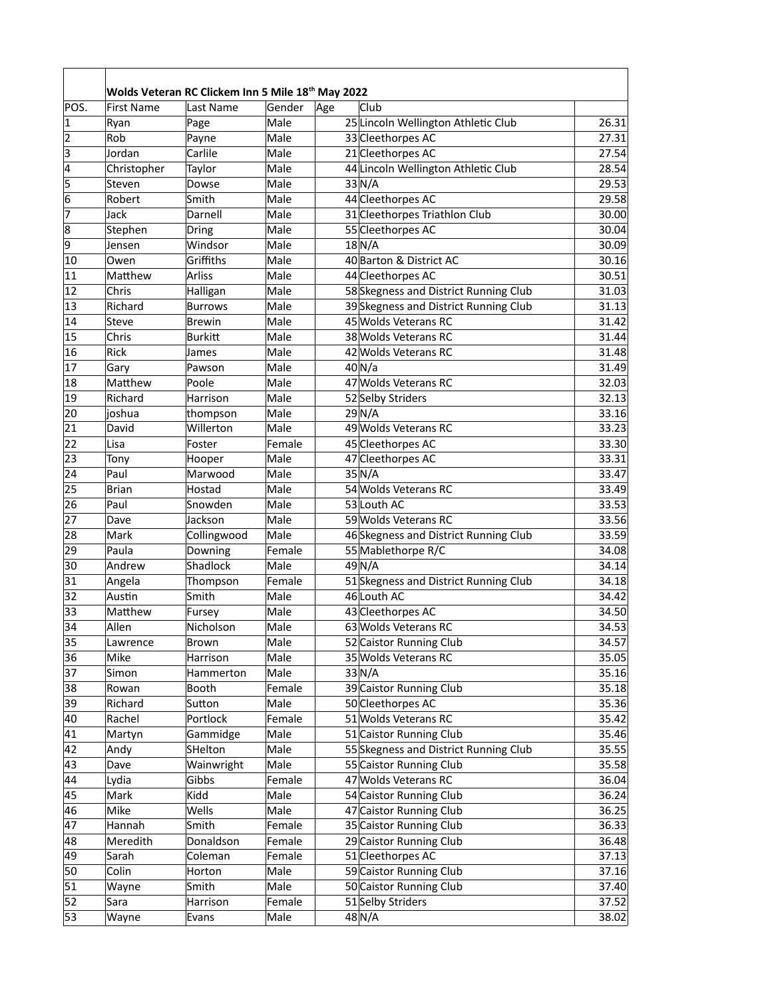|                | Wolds Veteran RC Clickem Inn 5 Mile 18th May 2022 |                |        |     |                                       |       |  |
|----------------|---------------------------------------------------|----------------|--------|-----|---------------------------------------|-------|--|
| POS.           | <b>First Name</b>                                 | Last Name      | Gender | Age | Club                                  |       |  |
| $\mathbf 1$    | Ryan                                              | Page           | Male   |     | 25 Lincoln Wellington Athletic Club   | 26.31 |  |
| 2              | Rob                                               | Payne          | Male   |     | 33 Cleethorpes AC                     | 27.31 |  |
| $\overline{3}$ | Jordan                                            | Carlile        | Male   |     | 21 Cleethorpes AC                     | 27.54 |  |
| $\overline{4}$ | Christopher                                       | Taylor         | Male   |     | 44 Lincoln Wellington Athletic Club   | 28.54 |  |
| $\overline{5}$ | Steven                                            | Dowse          | Male   |     | 33N/A                                 | 29.53 |  |
| 6              | Robert                                            | Smith          | Male   |     | 44 Cleethorpes AC                     | 29.58 |  |
| 7              | Jack                                              | Darnell        | Male   |     | 31 Cleethorpes Triathlon Club         | 30.00 |  |
| $\overline{8}$ | Stephen                                           | Dring          | Male   |     | 55 Cleethorpes AC                     | 30.04 |  |
| $\overline{9}$ | Jensen                                            | Windsor        | Male   |     | 18N/A                                 | 30.09 |  |
| 10             | Owen                                              | Griffiths      | Male   |     | 40 Barton & District AC               | 30.16 |  |
| 11             | Matthew                                           | <b>Arliss</b>  | Male   |     | 44 Cleethorpes AC                     | 30.51 |  |
| 12             | Chris                                             | Halligan       | Male   |     | 58 Skegness and District Running Club | 31.03 |  |
| 13             | Richard                                           | <b>Burrows</b> | Male   |     | 39 Skegness and District Running Club | 31.13 |  |
| 14             | Steve                                             | <b>Brewin</b>  | Male   |     | 45 Wolds Veterans RC                  | 31.42 |  |
| 15             | Chris                                             | <b>Burkitt</b> | Male   |     | 38 Wolds Veterans RC                  | 31.44 |  |
| 16             | Rick                                              | James          | Male   |     | 42 Wolds Veterans RC                  | 31.48 |  |
| 17             | Gary                                              | Pawson         | Male   |     | $40$ N/a                              | 31.49 |  |
| 18             | Matthew                                           | Poole          | Male   |     | 47 Wolds Veterans RC                  | 32.03 |  |
| 19             | Richard                                           | Harrison       | Male   |     | 52 Selby Striders                     | 32.13 |  |
| 20             | joshua                                            | thompson       | Male   |     | 29N/A                                 | 33.16 |  |
| 21             | David                                             | Willerton      | Male   |     | 49 Wolds Veterans RC                  | 33.23 |  |
| 22             | Lisa                                              | Foster         | Female |     | 45 Cleethorpes AC                     | 33.30 |  |
| 23             | Tony                                              | Hooper         | Male   |     | 47 Cleethorpes AC                     | 33.31 |  |
| 24             | Paul                                              | Marwood        | Male   |     | $35\vert N/A$                         | 33.47 |  |
| 25             | <b>Brian</b>                                      | Hostad         | Male   |     | 54 Wolds Veterans RC                  | 33.49 |  |
| 26             | Paul                                              | Snowden        | Male   |     | 53 Louth AC                           | 33.53 |  |
| 27             | Dave                                              | Jackson        | Male   |     | 59 Wolds Veterans RC                  | 33.56 |  |
| 28             | Mark                                              | Collingwood    | Male   |     | 46 Skegness and District Running Club | 33.59 |  |
| 29             | Paula                                             | Downing        | Female |     | 55 Mablethorpe R/C                    | 34.08 |  |
| 30             | Andrew                                            | Shadlock       | Male   |     | 49N/A                                 | 34.14 |  |
| 31             | Angela                                            | Thompson       | Female |     | 51 Skegness and District Running Club | 34.18 |  |
| 32             | Austin                                            | Smith          | Male   |     | 46 Louth AC                           | 34.42 |  |
| 33             | Matthew                                           | Fursey         | Male   |     | 43 Cleethorpes AC                     | 34.50 |  |
| 34             | Allen                                             | Nicholson      | Male   |     | 63 Wolds Veterans RC                  | 34.53 |  |
| 35             | Lawrence                                          | Brown          | Male   |     | 52 Caistor Running Club               | 34.57 |  |
| 36             | Mike                                              | Harrison       | Male   |     | 35 Wolds Veterans RC                  | 35.05 |  |
| 37             | Simon                                             | Hammerton      | Male   |     | $33\text{N/A}$                        | 35.16 |  |
| 38             | Rowan                                             | Booth          | Female |     | 39 Caistor Running Club               | 35.18 |  |
| 39             | Richard                                           | Sutton         | Male   |     | 50 Cleethorpes AC                     | 35.36 |  |
| 40             | Rachel                                            | Portlock       | Female |     | 51 Wolds Veterans RC                  | 35.42 |  |
| 41             | Martyn                                            | Gammidge       | Male   |     | 51 Caistor Running Club               | 35.46 |  |
| 42             | Andy                                              | SHelton        | Male   |     | 55 Skegness and District Running Club | 35.55 |  |
| 43             | Dave                                              | Wainwright     | Male   |     | 55 Caistor Running Club               | 35.58 |  |
| 44             | Lydia                                             | Gibbs          | Female |     | 47 Wolds Veterans RC                  | 36.04 |  |
| 45             | Mark                                              | Kidd           | Male   |     | 54 Caistor Running Club               | 36.24 |  |
| 46             | Mike                                              | Wells          | Male   |     | 47 Caistor Running Club               | 36.25 |  |
| 47             | Hannah                                            | Smith          | Female |     | 35 Caistor Running Club               | 36.33 |  |
| 48             | Meredith                                          | Donaldson      | Female |     | 29 Caistor Running Club               | 36.48 |  |
| 49             | Sarah                                             | Coleman        | Female |     | 51 Cleethorpes AC                     | 37.13 |  |
| 50             | Colin                                             | Horton         | Male   |     | 59 Caistor Running Club               | 37.16 |  |
| 51             | Wayne                                             | Smith          | Male   |     | 50 Caistor Running Club               | 37.40 |  |
| 52             | Sara                                              | Harrison       | Female |     | 51 Selby Striders                     | 37.52 |  |
| 53             | Wayne                                             | Evans          | Male   |     | 48 N/A                                | 38.02 |  |
|                |                                                   |                |        |     |                                       |       |  |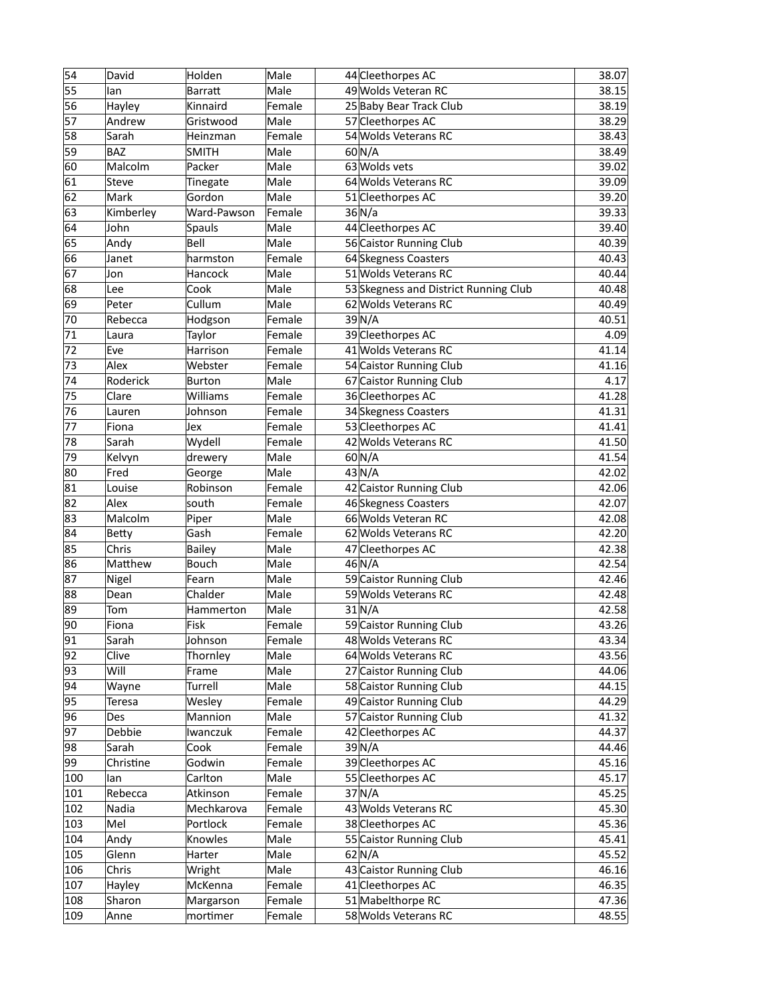| 55<br>49 Wolds Veteran RC<br>Male<br>38.15<br><b>Barratt</b><br>lan<br>56<br>Kinnaird<br>Female<br>25 Baby Bear Track Club<br>38.19<br>Hayley<br>57<br>Male<br>Andrew<br>57 Cleethorpes AC<br>38.29<br>Gristwood<br>58<br>54 Wolds Veterans RC<br>Sarah<br>Female<br>38.43<br>Heinzman<br>59<br><b>BAZ</b><br>60 N/A<br>38.49<br><b>SMITH</b><br>Male<br>60<br>63 Wolds vets<br>Malcolm<br>Packer<br>Male<br>39.02<br>61<br>64 Wolds Veterans RC<br>Steve<br>Tinegate<br>Male<br>39.09<br>62<br>Mark<br>Gordon<br>Male<br>39.20<br>51 Cleethorpes AC<br>63<br>Kimberley<br>Ward-Pawson<br>Female<br>36/N/a<br>39.33<br>64<br>John<br>Male<br>44 Cleethorpes AC<br>39.40<br>Spauls<br>65<br>Bell<br>Male<br>56 Caistor Running Club<br>40.39<br>Andy<br>66<br>harmston<br>Female<br>64 Skegness Coasters<br>40.43<br>Janet<br>67<br>51 Wolds Veterans RC<br>Hancock<br>Male<br>40.44<br>Jon<br>68<br>Male<br>Lee<br>Cook<br>53 Skegness and District Running Club<br>40.48<br>69<br>Cullum<br>Male<br>62 Wolds Veterans RC<br>40.49<br>Peter<br>70<br>Female<br>39 N/A<br>40.51<br>Rebecca<br>Hodgson<br>71<br>Taylor<br>Female<br>39 Cleethorpes AC<br>4.09<br>Laura<br>72<br>Eve<br>Harrison<br>Female<br>41 Wolds Veterans RC<br>41.14<br>73<br>Alex<br>Webster<br>Female<br>54 Caistor Running Club<br>41.16<br>74<br>Roderick<br>Male<br>67 Caistor Running Club<br>4.17<br><b>Burton</b><br>75<br>Williams<br>36 Cleethorpes AC<br>41.28<br>Clare<br>Female<br>76<br>34 Skegness Coasters<br>Johnson<br>Female<br>41.31<br>Lauren<br>77<br>53 Cleethorpes AC<br>Fiona<br>Female<br>41.41<br>Jex<br>Wydell<br>42 Wolds Veterans RC<br>78<br>Sarah<br>Female<br>41.50<br>79<br>Kelvyn<br>Male<br>60 N/A<br>41.54<br>drewery<br>80<br>$43\overline{\text{N/A}}$<br>Fred<br>Male<br>42.02<br>George<br>81<br>Robinson<br>Female<br>42 Caistor Running Club<br>42.06<br>Louise<br>82<br>42.07<br>Alex<br>46 Skegness Coasters<br>south<br>Female<br>83<br>66 Wolds Veteran RC<br>Malcolm<br>Male<br>42.08<br>Piper<br>84<br>62 Wolds Veterans RC<br>Gash<br>Female<br>42.20<br>Betty<br>85<br>Chris<br>42.38<br><b>Bailey</b><br>Male<br>47 Cleethorpes AC<br>86<br>Bouch<br>46 N/A<br>42.54<br>Matthew<br>Male<br>87<br>Fearn<br>Male<br>59 Caistor Running Club<br>42.46<br>Nigel<br>88<br>Chalder<br>Male<br>59 Wolds Veterans RC<br>42.48<br>Dean<br>89<br>42.58<br>Male<br>31N/A<br>Tom<br>Hammerton<br>90<br>Fiona<br>Fisk<br>59 Caistor Running Club<br>43.26<br>Female<br>91<br>Sarah<br>Johnson<br>Female<br>48 Wolds Veterans RC<br>43.34<br>92<br>Clive<br>Thornley<br>Male<br>64 Wolds Veterans RC<br>43.56<br>93<br>Will<br>Male<br>44.06<br>Frame<br>27 Caistor Running Club<br>94<br>Male<br>Wayne<br>Turrell<br>58 Caistor Running Club<br>44.15<br>95<br>Wesley<br>49 Caistor Running Club<br>44.29<br><b>Teresa</b><br>Female<br>96<br>57 Caistor Running Club<br>Mannion<br>Male<br>41.32<br>Des<br>97<br>Debbie<br>Female<br>42 Cleethorpes AC<br>44.37<br>Iwanczuk<br>98<br>Sarah<br>Cook<br>Female<br>39 N/A<br>44.46<br>39 Cleethorpes AC<br>99<br>Godwin<br>Christine<br>Female<br>45.16<br>Carlton<br>Male<br>55 Cleethorpes AC<br>45.17<br>100<br>lan<br>Rebecca<br>101<br>Atkinson<br>Female<br>37N/A<br>45.25<br>43 Wolds Veterans RC<br>102<br>Nadia<br>Mechkarova<br>Female<br>45.30<br>Mel<br>Portlock<br>103<br>Female<br>38 Cleethorpes AC<br>Knowles<br>55 Caistor Running Club<br>104<br>Andy<br>Male<br>45.41<br>$62$ N/A<br>45.52<br>105<br>Glenn<br>Harter<br>Male<br>106<br>Chris<br>Male<br>43 Caistor Running Club<br>46.16<br>Wright<br>41 Cleethorpes AC<br>46.35<br>107<br>Hayley<br>McKenna<br>Female<br>51 Mabelthorpe RC<br>108<br>Sharon<br>Margarson<br>Female<br>58 Wolds Veterans RC | 54  | David | Holden   | Male   | 44 Cleethorpes AC | 38.07 |
|-----------------------------------------------------------------------------------------------------------------------------------------------------------------------------------------------------------------------------------------------------------------------------------------------------------------------------------------------------------------------------------------------------------------------------------------------------------------------------------------------------------------------------------------------------------------------------------------------------------------------------------------------------------------------------------------------------------------------------------------------------------------------------------------------------------------------------------------------------------------------------------------------------------------------------------------------------------------------------------------------------------------------------------------------------------------------------------------------------------------------------------------------------------------------------------------------------------------------------------------------------------------------------------------------------------------------------------------------------------------------------------------------------------------------------------------------------------------------------------------------------------------------------------------------------------------------------------------------------------------------------------------------------------------------------------------------------------------------------------------------------------------------------------------------------------------------------------------------------------------------------------------------------------------------------------------------------------------------------------------------------------------------------------------------------------------------------------------------------------------------------------------------------------------------------------------------------------------------------------------------------------------------------------------------------------------------------------------------------------------------------------------------------------------------------------------------------------------------------------------------------------------------------------------------------------------------------------------------------------------------------------------------------------------------------------------------------------------------------------------------------------------------------------------------------------------------------------------------------------------------------------------------------------------------------------------------------------------------------------------------------------------------------------------------------------------------------------------------------------------------------------------------------------------------------------------------------------------------------------------------------------------------------------------------------------------------------------------------------------------------------------------------------------------------------------------------------------------------------------------------------------------------------------------------------------------------------------------------------------------------------------------------------------------------------------------------------------------------------------------|-----|-------|----------|--------|-------------------|-------|
|                                                                                                                                                                                                                                                                                                                                                                                                                                                                                                                                                                                                                                                                                                                                                                                                                                                                                                                                                                                                                                                                                                                                                                                                                                                                                                                                                                                                                                                                                                                                                                                                                                                                                                                                                                                                                                                                                                                                                                                                                                                                                                                                                                                                                                                                                                                                                                                                                                                                                                                                                                                                                                                                                                                                                                                                                                                                                                                                                                                                                                                                                                                                                                                                                                                                                                                                                                                                                                                                                                                                                                                                                                                                                                                                         |     |       |          |        |                   |       |
| 45.36<br>47.36                                                                                                                                                                                                                                                                                                                                                                                                                                                                                                                                                                                                                                                                                                                                                                                                                                                                                                                                                                                                                                                                                                                                                                                                                                                                                                                                                                                                                                                                                                                                                                                                                                                                                                                                                                                                                                                                                                                                                                                                                                                                                                                                                                                                                                                                                                                                                                                                                                                                                                                                                                                                                                                                                                                                                                                                                                                                                                                                                                                                                                                                                                                                                                                                                                                                                                                                                                                                                                                                                                                                                                                                                                                                                                                          |     |       |          |        |                   |       |
|                                                                                                                                                                                                                                                                                                                                                                                                                                                                                                                                                                                                                                                                                                                                                                                                                                                                                                                                                                                                                                                                                                                                                                                                                                                                                                                                                                                                                                                                                                                                                                                                                                                                                                                                                                                                                                                                                                                                                                                                                                                                                                                                                                                                                                                                                                                                                                                                                                                                                                                                                                                                                                                                                                                                                                                                                                                                                                                                                                                                                                                                                                                                                                                                                                                                                                                                                                                                                                                                                                                                                                                                                                                                                                                                         |     |       |          |        |                   |       |
|                                                                                                                                                                                                                                                                                                                                                                                                                                                                                                                                                                                                                                                                                                                                                                                                                                                                                                                                                                                                                                                                                                                                                                                                                                                                                                                                                                                                                                                                                                                                                                                                                                                                                                                                                                                                                                                                                                                                                                                                                                                                                                                                                                                                                                                                                                                                                                                                                                                                                                                                                                                                                                                                                                                                                                                                                                                                                                                                                                                                                                                                                                                                                                                                                                                                                                                                                                                                                                                                                                                                                                                                                                                                                                                                         |     |       |          |        |                   |       |
|                                                                                                                                                                                                                                                                                                                                                                                                                                                                                                                                                                                                                                                                                                                                                                                                                                                                                                                                                                                                                                                                                                                                                                                                                                                                                                                                                                                                                                                                                                                                                                                                                                                                                                                                                                                                                                                                                                                                                                                                                                                                                                                                                                                                                                                                                                                                                                                                                                                                                                                                                                                                                                                                                                                                                                                                                                                                                                                                                                                                                                                                                                                                                                                                                                                                                                                                                                                                                                                                                                                                                                                                                                                                                                                                         |     |       |          |        |                   |       |
|                                                                                                                                                                                                                                                                                                                                                                                                                                                                                                                                                                                                                                                                                                                                                                                                                                                                                                                                                                                                                                                                                                                                                                                                                                                                                                                                                                                                                                                                                                                                                                                                                                                                                                                                                                                                                                                                                                                                                                                                                                                                                                                                                                                                                                                                                                                                                                                                                                                                                                                                                                                                                                                                                                                                                                                                                                                                                                                                                                                                                                                                                                                                                                                                                                                                                                                                                                                                                                                                                                                                                                                                                                                                                                                                         |     |       |          |        |                   |       |
|                                                                                                                                                                                                                                                                                                                                                                                                                                                                                                                                                                                                                                                                                                                                                                                                                                                                                                                                                                                                                                                                                                                                                                                                                                                                                                                                                                                                                                                                                                                                                                                                                                                                                                                                                                                                                                                                                                                                                                                                                                                                                                                                                                                                                                                                                                                                                                                                                                                                                                                                                                                                                                                                                                                                                                                                                                                                                                                                                                                                                                                                                                                                                                                                                                                                                                                                                                                                                                                                                                                                                                                                                                                                                                                                         |     |       |          |        |                   |       |
|                                                                                                                                                                                                                                                                                                                                                                                                                                                                                                                                                                                                                                                                                                                                                                                                                                                                                                                                                                                                                                                                                                                                                                                                                                                                                                                                                                                                                                                                                                                                                                                                                                                                                                                                                                                                                                                                                                                                                                                                                                                                                                                                                                                                                                                                                                                                                                                                                                                                                                                                                                                                                                                                                                                                                                                                                                                                                                                                                                                                                                                                                                                                                                                                                                                                                                                                                                                                                                                                                                                                                                                                                                                                                                                                         |     |       |          |        |                   |       |
|                                                                                                                                                                                                                                                                                                                                                                                                                                                                                                                                                                                                                                                                                                                                                                                                                                                                                                                                                                                                                                                                                                                                                                                                                                                                                                                                                                                                                                                                                                                                                                                                                                                                                                                                                                                                                                                                                                                                                                                                                                                                                                                                                                                                                                                                                                                                                                                                                                                                                                                                                                                                                                                                                                                                                                                                                                                                                                                                                                                                                                                                                                                                                                                                                                                                                                                                                                                                                                                                                                                                                                                                                                                                                                                                         |     |       |          |        |                   |       |
|                                                                                                                                                                                                                                                                                                                                                                                                                                                                                                                                                                                                                                                                                                                                                                                                                                                                                                                                                                                                                                                                                                                                                                                                                                                                                                                                                                                                                                                                                                                                                                                                                                                                                                                                                                                                                                                                                                                                                                                                                                                                                                                                                                                                                                                                                                                                                                                                                                                                                                                                                                                                                                                                                                                                                                                                                                                                                                                                                                                                                                                                                                                                                                                                                                                                                                                                                                                                                                                                                                                                                                                                                                                                                                                                         |     |       |          |        |                   |       |
|                                                                                                                                                                                                                                                                                                                                                                                                                                                                                                                                                                                                                                                                                                                                                                                                                                                                                                                                                                                                                                                                                                                                                                                                                                                                                                                                                                                                                                                                                                                                                                                                                                                                                                                                                                                                                                                                                                                                                                                                                                                                                                                                                                                                                                                                                                                                                                                                                                                                                                                                                                                                                                                                                                                                                                                                                                                                                                                                                                                                                                                                                                                                                                                                                                                                                                                                                                                                                                                                                                                                                                                                                                                                                                                                         |     |       |          |        |                   |       |
|                                                                                                                                                                                                                                                                                                                                                                                                                                                                                                                                                                                                                                                                                                                                                                                                                                                                                                                                                                                                                                                                                                                                                                                                                                                                                                                                                                                                                                                                                                                                                                                                                                                                                                                                                                                                                                                                                                                                                                                                                                                                                                                                                                                                                                                                                                                                                                                                                                                                                                                                                                                                                                                                                                                                                                                                                                                                                                                                                                                                                                                                                                                                                                                                                                                                                                                                                                                                                                                                                                                                                                                                                                                                                                                                         |     |       |          |        |                   |       |
|                                                                                                                                                                                                                                                                                                                                                                                                                                                                                                                                                                                                                                                                                                                                                                                                                                                                                                                                                                                                                                                                                                                                                                                                                                                                                                                                                                                                                                                                                                                                                                                                                                                                                                                                                                                                                                                                                                                                                                                                                                                                                                                                                                                                                                                                                                                                                                                                                                                                                                                                                                                                                                                                                                                                                                                                                                                                                                                                                                                                                                                                                                                                                                                                                                                                                                                                                                                                                                                                                                                                                                                                                                                                                                                                         |     |       |          |        |                   |       |
|                                                                                                                                                                                                                                                                                                                                                                                                                                                                                                                                                                                                                                                                                                                                                                                                                                                                                                                                                                                                                                                                                                                                                                                                                                                                                                                                                                                                                                                                                                                                                                                                                                                                                                                                                                                                                                                                                                                                                                                                                                                                                                                                                                                                                                                                                                                                                                                                                                                                                                                                                                                                                                                                                                                                                                                                                                                                                                                                                                                                                                                                                                                                                                                                                                                                                                                                                                                                                                                                                                                                                                                                                                                                                                                                         |     |       |          |        |                   |       |
|                                                                                                                                                                                                                                                                                                                                                                                                                                                                                                                                                                                                                                                                                                                                                                                                                                                                                                                                                                                                                                                                                                                                                                                                                                                                                                                                                                                                                                                                                                                                                                                                                                                                                                                                                                                                                                                                                                                                                                                                                                                                                                                                                                                                                                                                                                                                                                                                                                                                                                                                                                                                                                                                                                                                                                                                                                                                                                                                                                                                                                                                                                                                                                                                                                                                                                                                                                                                                                                                                                                                                                                                                                                                                                                                         |     |       |          |        |                   |       |
|                                                                                                                                                                                                                                                                                                                                                                                                                                                                                                                                                                                                                                                                                                                                                                                                                                                                                                                                                                                                                                                                                                                                                                                                                                                                                                                                                                                                                                                                                                                                                                                                                                                                                                                                                                                                                                                                                                                                                                                                                                                                                                                                                                                                                                                                                                                                                                                                                                                                                                                                                                                                                                                                                                                                                                                                                                                                                                                                                                                                                                                                                                                                                                                                                                                                                                                                                                                                                                                                                                                                                                                                                                                                                                                                         |     |       |          |        |                   |       |
|                                                                                                                                                                                                                                                                                                                                                                                                                                                                                                                                                                                                                                                                                                                                                                                                                                                                                                                                                                                                                                                                                                                                                                                                                                                                                                                                                                                                                                                                                                                                                                                                                                                                                                                                                                                                                                                                                                                                                                                                                                                                                                                                                                                                                                                                                                                                                                                                                                                                                                                                                                                                                                                                                                                                                                                                                                                                                                                                                                                                                                                                                                                                                                                                                                                                                                                                                                                                                                                                                                                                                                                                                                                                                                                                         |     |       |          |        |                   |       |
|                                                                                                                                                                                                                                                                                                                                                                                                                                                                                                                                                                                                                                                                                                                                                                                                                                                                                                                                                                                                                                                                                                                                                                                                                                                                                                                                                                                                                                                                                                                                                                                                                                                                                                                                                                                                                                                                                                                                                                                                                                                                                                                                                                                                                                                                                                                                                                                                                                                                                                                                                                                                                                                                                                                                                                                                                                                                                                                                                                                                                                                                                                                                                                                                                                                                                                                                                                                                                                                                                                                                                                                                                                                                                                                                         |     |       |          |        |                   |       |
|                                                                                                                                                                                                                                                                                                                                                                                                                                                                                                                                                                                                                                                                                                                                                                                                                                                                                                                                                                                                                                                                                                                                                                                                                                                                                                                                                                                                                                                                                                                                                                                                                                                                                                                                                                                                                                                                                                                                                                                                                                                                                                                                                                                                                                                                                                                                                                                                                                                                                                                                                                                                                                                                                                                                                                                                                                                                                                                                                                                                                                                                                                                                                                                                                                                                                                                                                                                                                                                                                                                                                                                                                                                                                                                                         |     |       |          |        |                   |       |
|                                                                                                                                                                                                                                                                                                                                                                                                                                                                                                                                                                                                                                                                                                                                                                                                                                                                                                                                                                                                                                                                                                                                                                                                                                                                                                                                                                                                                                                                                                                                                                                                                                                                                                                                                                                                                                                                                                                                                                                                                                                                                                                                                                                                                                                                                                                                                                                                                                                                                                                                                                                                                                                                                                                                                                                                                                                                                                                                                                                                                                                                                                                                                                                                                                                                                                                                                                                                                                                                                                                                                                                                                                                                                                                                         |     |       |          |        |                   |       |
|                                                                                                                                                                                                                                                                                                                                                                                                                                                                                                                                                                                                                                                                                                                                                                                                                                                                                                                                                                                                                                                                                                                                                                                                                                                                                                                                                                                                                                                                                                                                                                                                                                                                                                                                                                                                                                                                                                                                                                                                                                                                                                                                                                                                                                                                                                                                                                                                                                                                                                                                                                                                                                                                                                                                                                                                                                                                                                                                                                                                                                                                                                                                                                                                                                                                                                                                                                                                                                                                                                                                                                                                                                                                                                                                         |     |       |          |        |                   |       |
|                                                                                                                                                                                                                                                                                                                                                                                                                                                                                                                                                                                                                                                                                                                                                                                                                                                                                                                                                                                                                                                                                                                                                                                                                                                                                                                                                                                                                                                                                                                                                                                                                                                                                                                                                                                                                                                                                                                                                                                                                                                                                                                                                                                                                                                                                                                                                                                                                                                                                                                                                                                                                                                                                                                                                                                                                                                                                                                                                                                                                                                                                                                                                                                                                                                                                                                                                                                                                                                                                                                                                                                                                                                                                                                                         |     |       |          |        |                   |       |
|                                                                                                                                                                                                                                                                                                                                                                                                                                                                                                                                                                                                                                                                                                                                                                                                                                                                                                                                                                                                                                                                                                                                                                                                                                                                                                                                                                                                                                                                                                                                                                                                                                                                                                                                                                                                                                                                                                                                                                                                                                                                                                                                                                                                                                                                                                                                                                                                                                                                                                                                                                                                                                                                                                                                                                                                                                                                                                                                                                                                                                                                                                                                                                                                                                                                                                                                                                                                                                                                                                                                                                                                                                                                                                                                         |     |       |          |        |                   |       |
|                                                                                                                                                                                                                                                                                                                                                                                                                                                                                                                                                                                                                                                                                                                                                                                                                                                                                                                                                                                                                                                                                                                                                                                                                                                                                                                                                                                                                                                                                                                                                                                                                                                                                                                                                                                                                                                                                                                                                                                                                                                                                                                                                                                                                                                                                                                                                                                                                                                                                                                                                                                                                                                                                                                                                                                                                                                                                                                                                                                                                                                                                                                                                                                                                                                                                                                                                                                                                                                                                                                                                                                                                                                                                                                                         |     |       |          |        |                   |       |
|                                                                                                                                                                                                                                                                                                                                                                                                                                                                                                                                                                                                                                                                                                                                                                                                                                                                                                                                                                                                                                                                                                                                                                                                                                                                                                                                                                                                                                                                                                                                                                                                                                                                                                                                                                                                                                                                                                                                                                                                                                                                                                                                                                                                                                                                                                                                                                                                                                                                                                                                                                                                                                                                                                                                                                                                                                                                                                                                                                                                                                                                                                                                                                                                                                                                                                                                                                                                                                                                                                                                                                                                                                                                                                                                         |     |       |          |        |                   |       |
|                                                                                                                                                                                                                                                                                                                                                                                                                                                                                                                                                                                                                                                                                                                                                                                                                                                                                                                                                                                                                                                                                                                                                                                                                                                                                                                                                                                                                                                                                                                                                                                                                                                                                                                                                                                                                                                                                                                                                                                                                                                                                                                                                                                                                                                                                                                                                                                                                                                                                                                                                                                                                                                                                                                                                                                                                                                                                                                                                                                                                                                                                                                                                                                                                                                                                                                                                                                                                                                                                                                                                                                                                                                                                                                                         |     |       |          |        |                   |       |
|                                                                                                                                                                                                                                                                                                                                                                                                                                                                                                                                                                                                                                                                                                                                                                                                                                                                                                                                                                                                                                                                                                                                                                                                                                                                                                                                                                                                                                                                                                                                                                                                                                                                                                                                                                                                                                                                                                                                                                                                                                                                                                                                                                                                                                                                                                                                                                                                                                                                                                                                                                                                                                                                                                                                                                                                                                                                                                                                                                                                                                                                                                                                                                                                                                                                                                                                                                                                                                                                                                                                                                                                                                                                                                                                         |     |       |          |        |                   |       |
|                                                                                                                                                                                                                                                                                                                                                                                                                                                                                                                                                                                                                                                                                                                                                                                                                                                                                                                                                                                                                                                                                                                                                                                                                                                                                                                                                                                                                                                                                                                                                                                                                                                                                                                                                                                                                                                                                                                                                                                                                                                                                                                                                                                                                                                                                                                                                                                                                                                                                                                                                                                                                                                                                                                                                                                                                                                                                                                                                                                                                                                                                                                                                                                                                                                                                                                                                                                                                                                                                                                                                                                                                                                                                                                                         |     |       |          |        |                   |       |
|                                                                                                                                                                                                                                                                                                                                                                                                                                                                                                                                                                                                                                                                                                                                                                                                                                                                                                                                                                                                                                                                                                                                                                                                                                                                                                                                                                                                                                                                                                                                                                                                                                                                                                                                                                                                                                                                                                                                                                                                                                                                                                                                                                                                                                                                                                                                                                                                                                                                                                                                                                                                                                                                                                                                                                                                                                                                                                                                                                                                                                                                                                                                                                                                                                                                                                                                                                                                                                                                                                                                                                                                                                                                                                                                         |     |       |          |        |                   |       |
|                                                                                                                                                                                                                                                                                                                                                                                                                                                                                                                                                                                                                                                                                                                                                                                                                                                                                                                                                                                                                                                                                                                                                                                                                                                                                                                                                                                                                                                                                                                                                                                                                                                                                                                                                                                                                                                                                                                                                                                                                                                                                                                                                                                                                                                                                                                                                                                                                                                                                                                                                                                                                                                                                                                                                                                                                                                                                                                                                                                                                                                                                                                                                                                                                                                                                                                                                                                                                                                                                                                                                                                                                                                                                                                                         |     |       |          |        |                   |       |
|                                                                                                                                                                                                                                                                                                                                                                                                                                                                                                                                                                                                                                                                                                                                                                                                                                                                                                                                                                                                                                                                                                                                                                                                                                                                                                                                                                                                                                                                                                                                                                                                                                                                                                                                                                                                                                                                                                                                                                                                                                                                                                                                                                                                                                                                                                                                                                                                                                                                                                                                                                                                                                                                                                                                                                                                                                                                                                                                                                                                                                                                                                                                                                                                                                                                                                                                                                                                                                                                                                                                                                                                                                                                                                                                         |     |       |          |        |                   |       |
|                                                                                                                                                                                                                                                                                                                                                                                                                                                                                                                                                                                                                                                                                                                                                                                                                                                                                                                                                                                                                                                                                                                                                                                                                                                                                                                                                                                                                                                                                                                                                                                                                                                                                                                                                                                                                                                                                                                                                                                                                                                                                                                                                                                                                                                                                                                                                                                                                                                                                                                                                                                                                                                                                                                                                                                                                                                                                                                                                                                                                                                                                                                                                                                                                                                                                                                                                                                                                                                                                                                                                                                                                                                                                                                                         |     |       |          |        |                   |       |
|                                                                                                                                                                                                                                                                                                                                                                                                                                                                                                                                                                                                                                                                                                                                                                                                                                                                                                                                                                                                                                                                                                                                                                                                                                                                                                                                                                                                                                                                                                                                                                                                                                                                                                                                                                                                                                                                                                                                                                                                                                                                                                                                                                                                                                                                                                                                                                                                                                                                                                                                                                                                                                                                                                                                                                                                                                                                                                                                                                                                                                                                                                                                                                                                                                                                                                                                                                                                                                                                                                                                                                                                                                                                                                                                         |     |       |          |        |                   |       |
|                                                                                                                                                                                                                                                                                                                                                                                                                                                                                                                                                                                                                                                                                                                                                                                                                                                                                                                                                                                                                                                                                                                                                                                                                                                                                                                                                                                                                                                                                                                                                                                                                                                                                                                                                                                                                                                                                                                                                                                                                                                                                                                                                                                                                                                                                                                                                                                                                                                                                                                                                                                                                                                                                                                                                                                                                                                                                                                                                                                                                                                                                                                                                                                                                                                                                                                                                                                                                                                                                                                                                                                                                                                                                                                                         |     |       |          |        |                   |       |
|                                                                                                                                                                                                                                                                                                                                                                                                                                                                                                                                                                                                                                                                                                                                                                                                                                                                                                                                                                                                                                                                                                                                                                                                                                                                                                                                                                                                                                                                                                                                                                                                                                                                                                                                                                                                                                                                                                                                                                                                                                                                                                                                                                                                                                                                                                                                                                                                                                                                                                                                                                                                                                                                                                                                                                                                                                                                                                                                                                                                                                                                                                                                                                                                                                                                                                                                                                                                                                                                                                                                                                                                                                                                                                                                         |     |       |          |        |                   |       |
|                                                                                                                                                                                                                                                                                                                                                                                                                                                                                                                                                                                                                                                                                                                                                                                                                                                                                                                                                                                                                                                                                                                                                                                                                                                                                                                                                                                                                                                                                                                                                                                                                                                                                                                                                                                                                                                                                                                                                                                                                                                                                                                                                                                                                                                                                                                                                                                                                                                                                                                                                                                                                                                                                                                                                                                                                                                                                                                                                                                                                                                                                                                                                                                                                                                                                                                                                                                                                                                                                                                                                                                                                                                                                                                                         |     |       |          |        |                   |       |
|                                                                                                                                                                                                                                                                                                                                                                                                                                                                                                                                                                                                                                                                                                                                                                                                                                                                                                                                                                                                                                                                                                                                                                                                                                                                                                                                                                                                                                                                                                                                                                                                                                                                                                                                                                                                                                                                                                                                                                                                                                                                                                                                                                                                                                                                                                                                                                                                                                                                                                                                                                                                                                                                                                                                                                                                                                                                                                                                                                                                                                                                                                                                                                                                                                                                                                                                                                                                                                                                                                                                                                                                                                                                                                                                         |     |       |          |        |                   |       |
|                                                                                                                                                                                                                                                                                                                                                                                                                                                                                                                                                                                                                                                                                                                                                                                                                                                                                                                                                                                                                                                                                                                                                                                                                                                                                                                                                                                                                                                                                                                                                                                                                                                                                                                                                                                                                                                                                                                                                                                                                                                                                                                                                                                                                                                                                                                                                                                                                                                                                                                                                                                                                                                                                                                                                                                                                                                                                                                                                                                                                                                                                                                                                                                                                                                                                                                                                                                                                                                                                                                                                                                                                                                                                                                                         |     |       |          |        |                   |       |
|                                                                                                                                                                                                                                                                                                                                                                                                                                                                                                                                                                                                                                                                                                                                                                                                                                                                                                                                                                                                                                                                                                                                                                                                                                                                                                                                                                                                                                                                                                                                                                                                                                                                                                                                                                                                                                                                                                                                                                                                                                                                                                                                                                                                                                                                                                                                                                                                                                                                                                                                                                                                                                                                                                                                                                                                                                                                                                                                                                                                                                                                                                                                                                                                                                                                                                                                                                                                                                                                                                                                                                                                                                                                                                                                         |     |       |          |        |                   |       |
|                                                                                                                                                                                                                                                                                                                                                                                                                                                                                                                                                                                                                                                                                                                                                                                                                                                                                                                                                                                                                                                                                                                                                                                                                                                                                                                                                                                                                                                                                                                                                                                                                                                                                                                                                                                                                                                                                                                                                                                                                                                                                                                                                                                                                                                                                                                                                                                                                                                                                                                                                                                                                                                                                                                                                                                                                                                                                                                                                                                                                                                                                                                                                                                                                                                                                                                                                                                                                                                                                                                                                                                                                                                                                                                                         |     |       |          |        |                   |       |
|                                                                                                                                                                                                                                                                                                                                                                                                                                                                                                                                                                                                                                                                                                                                                                                                                                                                                                                                                                                                                                                                                                                                                                                                                                                                                                                                                                                                                                                                                                                                                                                                                                                                                                                                                                                                                                                                                                                                                                                                                                                                                                                                                                                                                                                                                                                                                                                                                                                                                                                                                                                                                                                                                                                                                                                                                                                                                                                                                                                                                                                                                                                                                                                                                                                                                                                                                                                                                                                                                                                                                                                                                                                                                                                                         |     |       |          |        |                   |       |
|                                                                                                                                                                                                                                                                                                                                                                                                                                                                                                                                                                                                                                                                                                                                                                                                                                                                                                                                                                                                                                                                                                                                                                                                                                                                                                                                                                                                                                                                                                                                                                                                                                                                                                                                                                                                                                                                                                                                                                                                                                                                                                                                                                                                                                                                                                                                                                                                                                                                                                                                                                                                                                                                                                                                                                                                                                                                                                                                                                                                                                                                                                                                                                                                                                                                                                                                                                                                                                                                                                                                                                                                                                                                                                                                         |     |       |          |        |                   |       |
|                                                                                                                                                                                                                                                                                                                                                                                                                                                                                                                                                                                                                                                                                                                                                                                                                                                                                                                                                                                                                                                                                                                                                                                                                                                                                                                                                                                                                                                                                                                                                                                                                                                                                                                                                                                                                                                                                                                                                                                                                                                                                                                                                                                                                                                                                                                                                                                                                                                                                                                                                                                                                                                                                                                                                                                                                                                                                                                                                                                                                                                                                                                                                                                                                                                                                                                                                                                                                                                                                                                                                                                                                                                                                                                                         |     |       |          |        |                   |       |
|                                                                                                                                                                                                                                                                                                                                                                                                                                                                                                                                                                                                                                                                                                                                                                                                                                                                                                                                                                                                                                                                                                                                                                                                                                                                                                                                                                                                                                                                                                                                                                                                                                                                                                                                                                                                                                                                                                                                                                                                                                                                                                                                                                                                                                                                                                                                                                                                                                                                                                                                                                                                                                                                                                                                                                                                                                                                                                                                                                                                                                                                                                                                                                                                                                                                                                                                                                                                                                                                                                                                                                                                                                                                                                                                         |     |       |          |        |                   |       |
|                                                                                                                                                                                                                                                                                                                                                                                                                                                                                                                                                                                                                                                                                                                                                                                                                                                                                                                                                                                                                                                                                                                                                                                                                                                                                                                                                                                                                                                                                                                                                                                                                                                                                                                                                                                                                                                                                                                                                                                                                                                                                                                                                                                                                                                                                                                                                                                                                                                                                                                                                                                                                                                                                                                                                                                                                                                                                                                                                                                                                                                                                                                                                                                                                                                                                                                                                                                                                                                                                                                                                                                                                                                                                                                                         |     |       |          |        |                   |       |
|                                                                                                                                                                                                                                                                                                                                                                                                                                                                                                                                                                                                                                                                                                                                                                                                                                                                                                                                                                                                                                                                                                                                                                                                                                                                                                                                                                                                                                                                                                                                                                                                                                                                                                                                                                                                                                                                                                                                                                                                                                                                                                                                                                                                                                                                                                                                                                                                                                                                                                                                                                                                                                                                                                                                                                                                                                                                                                                                                                                                                                                                                                                                                                                                                                                                                                                                                                                                                                                                                                                                                                                                                                                                                                                                         |     |       |          |        |                   |       |
|                                                                                                                                                                                                                                                                                                                                                                                                                                                                                                                                                                                                                                                                                                                                                                                                                                                                                                                                                                                                                                                                                                                                                                                                                                                                                                                                                                                                                                                                                                                                                                                                                                                                                                                                                                                                                                                                                                                                                                                                                                                                                                                                                                                                                                                                                                                                                                                                                                                                                                                                                                                                                                                                                                                                                                                                                                                                                                                                                                                                                                                                                                                                                                                                                                                                                                                                                                                                                                                                                                                                                                                                                                                                                                                                         |     |       |          |        |                   |       |
|                                                                                                                                                                                                                                                                                                                                                                                                                                                                                                                                                                                                                                                                                                                                                                                                                                                                                                                                                                                                                                                                                                                                                                                                                                                                                                                                                                                                                                                                                                                                                                                                                                                                                                                                                                                                                                                                                                                                                                                                                                                                                                                                                                                                                                                                                                                                                                                                                                                                                                                                                                                                                                                                                                                                                                                                                                                                                                                                                                                                                                                                                                                                                                                                                                                                                                                                                                                                                                                                                                                                                                                                                                                                                                                                         |     |       |          |        |                   |       |
|                                                                                                                                                                                                                                                                                                                                                                                                                                                                                                                                                                                                                                                                                                                                                                                                                                                                                                                                                                                                                                                                                                                                                                                                                                                                                                                                                                                                                                                                                                                                                                                                                                                                                                                                                                                                                                                                                                                                                                                                                                                                                                                                                                                                                                                                                                                                                                                                                                                                                                                                                                                                                                                                                                                                                                                                                                                                                                                                                                                                                                                                                                                                                                                                                                                                                                                                                                                                                                                                                                                                                                                                                                                                                                                                         |     |       |          |        |                   |       |
|                                                                                                                                                                                                                                                                                                                                                                                                                                                                                                                                                                                                                                                                                                                                                                                                                                                                                                                                                                                                                                                                                                                                                                                                                                                                                                                                                                                                                                                                                                                                                                                                                                                                                                                                                                                                                                                                                                                                                                                                                                                                                                                                                                                                                                                                                                                                                                                                                                                                                                                                                                                                                                                                                                                                                                                                                                                                                                                                                                                                                                                                                                                                                                                                                                                                                                                                                                                                                                                                                                                                                                                                                                                                                                                                         |     |       |          |        |                   |       |
|                                                                                                                                                                                                                                                                                                                                                                                                                                                                                                                                                                                                                                                                                                                                                                                                                                                                                                                                                                                                                                                                                                                                                                                                                                                                                                                                                                                                                                                                                                                                                                                                                                                                                                                                                                                                                                                                                                                                                                                                                                                                                                                                                                                                                                                                                                                                                                                                                                                                                                                                                                                                                                                                                                                                                                                                                                                                                                                                                                                                                                                                                                                                                                                                                                                                                                                                                                                                                                                                                                                                                                                                                                                                                                                                         |     |       |          |        |                   |       |
|                                                                                                                                                                                                                                                                                                                                                                                                                                                                                                                                                                                                                                                                                                                                                                                                                                                                                                                                                                                                                                                                                                                                                                                                                                                                                                                                                                                                                                                                                                                                                                                                                                                                                                                                                                                                                                                                                                                                                                                                                                                                                                                                                                                                                                                                                                                                                                                                                                                                                                                                                                                                                                                                                                                                                                                                                                                                                                                                                                                                                                                                                                                                                                                                                                                                                                                                                                                                                                                                                                                                                                                                                                                                                                                                         |     |       |          |        |                   |       |
|                                                                                                                                                                                                                                                                                                                                                                                                                                                                                                                                                                                                                                                                                                                                                                                                                                                                                                                                                                                                                                                                                                                                                                                                                                                                                                                                                                                                                                                                                                                                                                                                                                                                                                                                                                                                                                                                                                                                                                                                                                                                                                                                                                                                                                                                                                                                                                                                                                                                                                                                                                                                                                                                                                                                                                                                                                                                                                                                                                                                                                                                                                                                                                                                                                                                                                                                                                                                                                                                                                                                                                                                                                                                                                                                         |     |       |          |        |                   |       |
|                                                                                                                                                                                                                                                                                                                                                                                                                                                                                                                                                                                                                                                                                                                                                                                                                                                                                                                                                                                                                                                                                                                                                                                                                                                                                                                                                                                                                                                                                                                                                                                                                                                                                                                                                                                                                                                                                                                                                                                                                                                                                                                                                                                                                                                                                                                                                                                                                                                                                                                                                                                                                                                                                                                                                                                                                                                                                                                                                                                                                                                                                                                                                                                                                                                                                                                                                                                                                                                                                                                                                                                                                                                                                                                                         |     |       |          |        |                   |       |
|                                                                                                                                                                                                                                                                                                                                                                                                                                                                                                                                                                                                                                                                                                                                                                                                                                                                                                                                                                                                                                                                                                                                                                                                                                                                                                                                                                                                                                                                                                                                                                                                                                                                                                                                                                                                                                                                                                                                                                                                                                                                                                                                                                                                                                                                                                                                                                                                                                                                                                                                                                                                                                                                                                                                                                                                                                                                                                                                                                                                                                                                                                                                                                                                                                                                                                                                                                                                                                                                                                                                                                                                                                                                                                                                         | 109 | Anne  | mortimer | Female |                   | 48.55 |